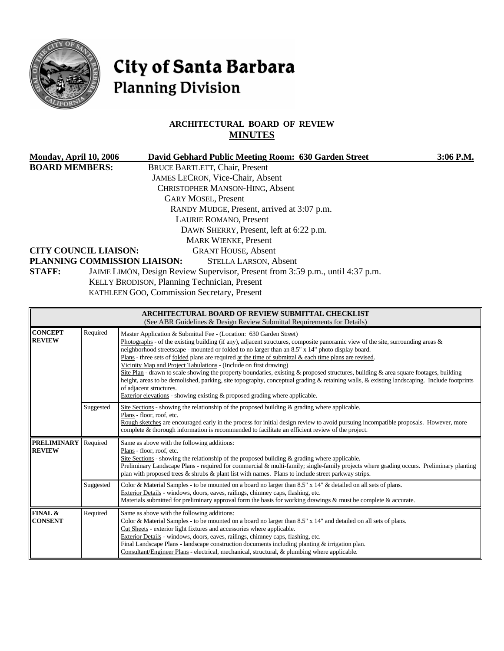

# City of Santa Barbara **Planning Division**

# **ARCHITECTURAL BOARD OF REVIEW MINUTES**

|                       | Monday, April 10, 2006       | David Gebhard Public Meeting Room: 630 Garden Street                           | $3:06$ P.M. |
|-----------------------|------------------------------|--------------------------------------------------------------------------------|-------------|
| <b>BOARD MEMBERS:</b> |                              | <b>BRUCE BARTLETT, Chair, Present</b>                                          |             |
|                       |                              | JAMES LECRON, Vice-Chair, Absent                                               |             |
|                       |                              | <b>CHRISTOPHER MANSON-HING, Absent</b>                                         |             |
|                       |                              | <b>GARY MOSEL, Present</b>                                                     |             |
|                       |                              | RANDY MUDGE, Present, arrived at 3:07 p.m.                                     |             |
|                       |                              | LAURIE ROMANO, Present                                                         |             |
|                       |                              | DAWN SHERRY, Present, left at 6:22 p.m.                                        |             |
|                       |                              | <b>MARK WIENKE, Present</b>                                                    |             |
|                       | <b>CITY COUNCIL LIAISON:</b> | <b>GRANT HOUSE, Absent</b>                                                     |             |
|                       | PLANNING COMMISSION LIAISON: | <b>STELLA LARSON, Absent</b>                                                   |             |
| <b>STAFF:</b>         |                              | JAIME LIMÓN, Design Review Supervisor, Present from 3:59 p.m., until 4:37 p.m. |             |
|                       |                              | KELLY BRODISON, Planning Technician, Present                                   |             |
|                       |                              | KATHLEEN GOO, Commission Secretary, Present                                    |             |
|                       |                              |                                                                                |             |

|                                     |                                                                                                                                                                                                                                                                                                                                                                                                                                                                                                                                                                                                                                                                                                                                                                                                                                                                                                                  | <b>ARCHITECTURAL BOARD OF REVIEW SUBMITTAL CHECKLIST</b><br>(See ABR Guidelines & Design Review Submittal Requirements for Details)                                                                                                                                                                                                                                                                                                                                                                                                 |  |
|-------------------------------------|------------------------------------------------------------------------------------------------------------------------------------------------------------------------------------------------------------------------------------------------------------------------------------------------------------------------------------------------------------------------------------------------------------------------------------------------------------------------------------------------------------------------------------------------------------------------------------------------------------------------------------------------------------------------------------------------------------------------------------------------------------------------------------------------------------------------------------------------------------------------------------------------------------------|-------------------------------------------------------------------------------------------------------------------------------------------------------------------------------------------------------------------------------------------------------------------------------------------------------------------------------------------------------------------------------------------------------------------------------------------------------------------------------------------------------------------------------------|--|
| <b>CONCEPT</b><br><b>REVIEW</b>     | Required<br>Master Application & Submittal Fee - (Location: 630 Garden Street)<br>Photographs - of the existing building (if any), adjacent structures, composite panoramic view of the site, surrounding areas $\&$<br>neighborhood streetscape - mounted or folded to no larger than an 8.5" x 14" photo display board.<br>Plans - three sets of folded plans are required at the time of submittal & each time plans are revised.<br>Vicinity Map and Project Tabulations - (Include on first drawing)<br>Site Plan - drawn to scale showing the property boundaries, existing $\&$ proposed structures, building $\&$ area square footages, building<br>height, areas to be demolished, parking, site topography, conceptual grading & retaining walls, & existing landscaping. Include footprints<br>of adjacent structures.<br>Exterior elevations - showing existing & proposed grading where applicable. |                                                                                                                                                                                                                                                                                                                                                                                                                                                                                                                                     |  |
|                                     | Suggested                                                                                                                                                                                                                                                                                                                                                                                                                                                                                                                                                                                                                                                                                                                                                                                                                                                                                                        | Site Sections - showing the relationship of the proposed building $\&$ grading where applicable.<br>Plans - floor, roof, etc.<br>Rough sketches are encouraged early in the process for initial design review to avoid pursuing incompatible proposals. However, more<br>complete & thorough information is recommended to facilitate an efficient review of the project.                                                                                                                                                           |  |
| <b>PRELIMINARY</b><br><b>REVIEW</b> | Required                                                                                                                                                                                                                                                                                                                                                                                                                                                                                                                                                                                                                                                                                                                                                                                                                                                                                                         | Same as above with the following additions:<br>Plans - floor, roof, etc.<br>Site Sections - showing the relationship of the proposed building $\&$ grading where applicable.<br>Preliminary Landscape Plans - required for commercial & multi-family; single-family projects where grading occurs. Preliminary planting<br>plan with proposed trees $\&$ shrubs $\&$ plant list with names. Plans to include street parkway strips.                                                                                                 |  |
|                                     | Suggested                                                                                                                                                                                                                                                                                                                                                                                                                                                                                                                                                                                                                                                                                                                                                                                                                                                                                                        | Color & Material Samples - to be mounted on a board no larger than $8.5" \times 14"$ & detailed on all sets of plans.<br>Exterior Details - windows, doors, eaves, railings, chimney caps, flashing, etc.<br>Materials submitted for preliminary approval form the basis for working drawings & must be complete & accurate.                                                                                                                                                                                                        |  |
| FINAL &<br><b>CONSENT</b>           | Required                                                                                                                                                                                                                                                                                                                                                                                                                                                                                                                                                                                                                                                                                                                                                                                                                                                                                                         | Same as above with the following additions:<br>Color & Material Samples - to be mounted on a board no larger than $8.5"$ x 14" and detailed on all sets of plans.<br>Cut Sheets - exterior light fixtures and accessories where applicable.<br>Exterior Details - windows, doors, eaves, railings, chimney caps, flashing, etc.<br>Final Landscape Plans - landscape construction documents including planting $&$ irrigation plan.<br>Consultant/Engineer Plans - electrical, mechanical, structural, & plumbing where applicable. |  |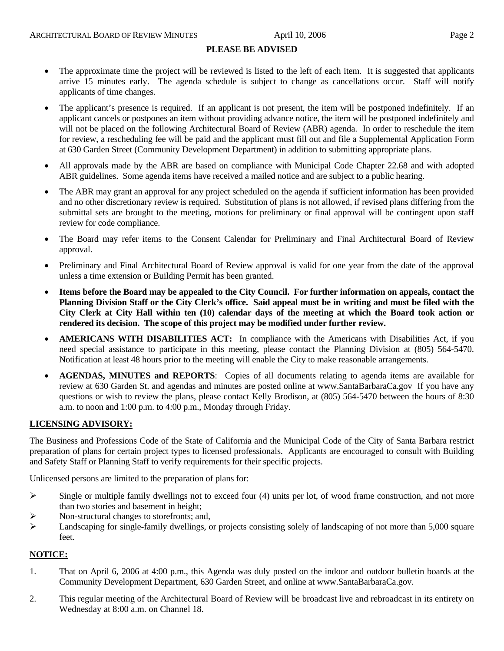#### **PLEASE BE ADVISED**

- The approximate time the project will be reviewed is listed to the left of each item. It is suggested that applicants arrive 15 minutes early. The agenda schedule is subject to change as cancellations occur. Staff will notify applicants of time changes.
- The applicant's presence is required. If an applicant is not present, the item will be postponed indefinitely. If an applicant cancels or postpones an item without providing advance notice, the item will be postponed indefinitely and will not be placed on the following Architectural Board of Review (ABR) agenda. In order to reschedule the item for review, a rescheduling fee will be paid and the applicant must fill out and file a Supplemental Application Form at 630 Garden Street (Community Development Department) in addition to submitting appropriate plans.
- All approvals made by the ABR are based on compliance with Municipal Code Chapter 22.68 and with adopted ABR guidelines. Some agenda items have received a mailed notice and are subject to a public hearing.
- The ABR may grant an approval for any project scheduled on the agenda if sufficient information has been provided and no other discretionary review is required. Substitution of plans is not allowed, if revised plans differing from the submittal sets are brought to the meeting, motions for preliminary or final approval will be contingent upon staff review for code compliance.
- The Board may refer items to the Consent Calendar for Preliminary and Final Architectural Board of Review approval.
- Preliminary and Final Architectural Board of Review approval is valid for one year from the date of the approval unless a time extension or Building Permit has been granted.
- **Items before the Board may be appealed to the City Council. For further information on appeals, contact the Planning Division Staff or the City Clerk's office. Said appeal must be in writing and must be filed with the City Clerk at City Hall within ten (10) calendar days of the meeting at which the Board took action or rendered its decision. The scope of this project may be modified under further review.**
- **AMERICANS WITH DISABILITIES ACT:** In compliance with the Americans with Disabilities Act, if you need special assistance to participate in this meeting, please contact the Planning Division at (805) 564-5470. Notification at least 48 hours prior to the meeting will enable the City to make reasonable arrangements.
- **AGENDAS, MINUTES and REPORTS**: Copies of all documents relating to agenda items are available for review at 630 Garden St. and agendas and minutes are posted online at [www.SantaBarbaraCa.gov](http://www.santabarbaraca.gov/) If you have any questions or wish to review the plans, please contact Kelly Brodison, at (805) 564-5470 between the hours of 8:30 a.m. to noon and 1:00 p.m. to 4:00 p.m., Monday through Friday.

# **LICENSING ADVISORY:**

The Business and Professions Code of the State of California and the Municipal Code of the City of Santa Barbara restrict preparation of plans for certain project types to licensed professionals. Applicants are encouraged to consult with Building and Safety Staff or Planning Staff to verify requirements for their specific projects.

Unlicensed persons are limited to the preparation of plans for:

- $\triangleright$  Single or multiple family dwellings not to exceed four (4) units per lot, of wood frame construction, and not more than two stories and basement in height;
- Non-structural changes to storefronts; and,
- ¾ Landscaping for single-family dwellings, or projects consisting solely of landscaping of not more than 5,000 square feet.

#### **NOTICE:**

- 1. That on April 6, 2006 at 4:00 p.m., this Agenda was duly posted on the indoor and outdoor bulletin boards at the Community Development Department, 630 Garden Street, and online at www.SantaBarbaraCa.gov.
- 2. This regular meeting of the Architectural Board of Review will be broadcast live and rebroadcast in its entirety on Wednesday at 8:00 a.m. on Channel 18.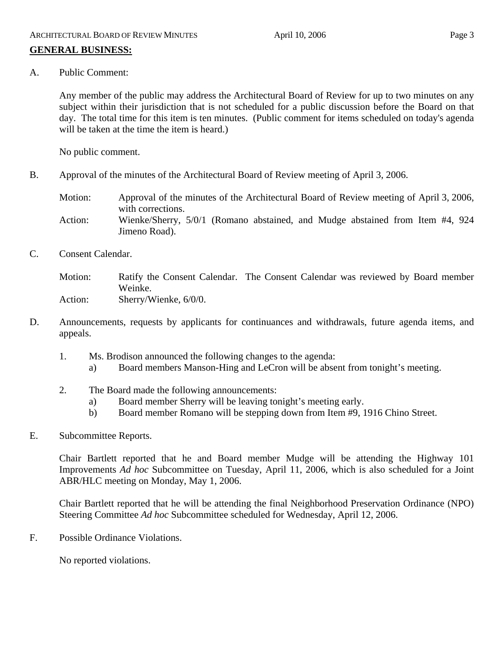# **GENERAL BUSINESS:**

A. Public Comment:

Any member of the public may address the Architectural Board of Review for up to two minutes on any subject within their jurisdiction that is not scheduled for a public discussion before the Board on that day. The total time for this item is ten minutes. (Public comment for items scheduled on today's agenda will be taken at the time the item is heard.)

No public comment.

B. Approval of the minutes of the Architectural Board of Review meeting of April 3, 2006.

Motion: Approval of the minutes of the Architectural Board of Review meeting of April 3, 2006, with corrections. Action: Wienke/Sherry, 5/0/1 (Romano abstained, and Mudge abstained from Item #4, 924

C. Consent Calendar.

Motion: Ratify the Consent Calendar. The Consent Calendar was reviewed by Board member Weinke. Action: Sherry/Wienke, 6/0/0.

- D. Announcements, requests by applicants for continuances and withdrawals, future agenda items, and appeals.
	- 1. Ms. Brodison announced the following changes to the agenda:
		- a) Board members Manson-Hing and LeCron will be absent from tonight's meeting.
	- 2. The Board made the following announcements:

Jimeno Road).

- a) Board member Sherry will be leaving tonight's meeting early.
- b) Board member Romano will be stepping down from Item #9, 1916 Chino Street.
- E. Subcommittee Reports.

Chair Bartlett reported that he and Board member Mudge will be attending the Highway 101 Improvements *Ad hoc* Subcommittee on Tuesday, April 11, 2006, which is also scheduled for a Joint ABR/HLC meeting on Monday, May 1, 2006.

Chair Bartlett reported that he will be attending the final Neighborhood Preservation Ordinance (NPO) Steering Committee *Ad hoc* Subcommittee scheduled for Wednesday, April 12, 2006.

F. Possible Ordinance Violations.

No reported violations.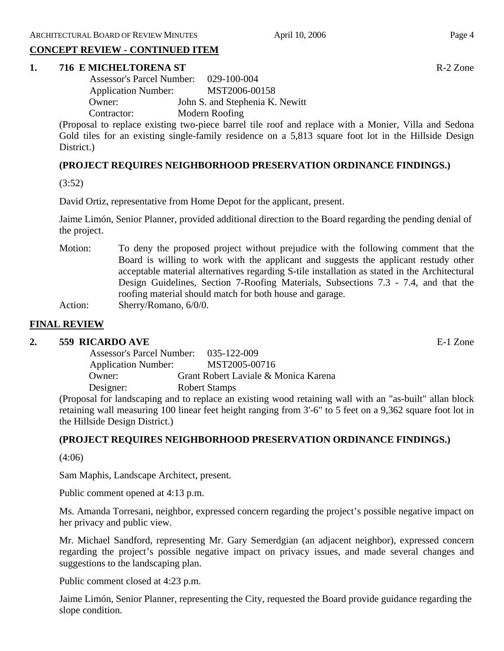#### **CONCEPT REVIEW - CONTINUED ITEM**

#### **1. 716 E MICHELTORENA ST** R-2 Zone

| <b>Assessor's Parcel Number:</b> | $029 - 100 - 004$               |
|----------------------------------|---------------------------------|
| <b>Application Number:</b>       | MST2006-00158                   |
| Owner:                           | John S. and Stephenia K. Newitt |
| Contractor:                      | Modern Roofing                  |

(Proposal to replace existing two-piece barrel tile roof and replace with a Monier, Villa and Sedona Gold tiles for an existing single-family residence on a 5,813 square foot lot in the Hillside Design District.)

# **(PROJECT REQUIRES NEIGHBORHOOD PRESERVATION ORDINANCE FINDINGS.)**

(3:52)

David Ortiz, representative from Home Depot for the applicant, present.

Jaime Limón, Senior Planner, provided additional direction to the Board regarding the pending denial of the project.

Motion: To deny the proposed project without prejudice with the following comment that the Board is willing to work with the applicant and suggests the applicant restudy other acceptable material alternatives regarding S-tile installation as stated in the Architectural Design Guidelines, Section 7-Roofing Materials, Subsections 7.3 - 7.4, and that the roofing material should match for both house and garage. Action: Sherry/Romano, 6/0/0.

# **FINAL REVIEW**

# **2. 559 RICARDO AVE** E-1 Zone

| <b>Assessor's Parcel Number:</b> | 035-122-009                          |
|----------------------------------|--------------------------------------|
| <b>Application Number:</b>       | MST2005-00716                        |
| Owner:                           | Grant Robert Laviale & Monica Karena |
| Designer:                        | <b>Robert Stamps</b>                 |

(Proposal for landscaping and to replace an existing wood retaining wall with an "as-built" allan block retaining wall measuring 100 linear feet height ranging from 3'-6" to 5 feet on a 9,362 square foot lot in the Hillside Design District.)

# **(PROJECT REQUIRES NEIGHBORHOOD PRESERVATION ORDINANCE FINDINGS.)**

(4:06)

Sam Maphis, Landscape Architect, present.

Public comment opened at 4:13 p.m.

Ms. Amanda Torresani, neighbor, expressed concern regarding the project's possible negative impact on her privacy and public view.

Mr. Michael Sandford, representing Mr. Gary Semerdgian (an adjacent neighbor), expressed concern regarding the project's possible negative impact on privacy issues, and made several changes and suggestions to the landscaping plan.

Public comment closed at 4:23 p.m.

Jaime Limón, Senior Planner, representing the City, requested the Board provide guidance regarding the slope condition.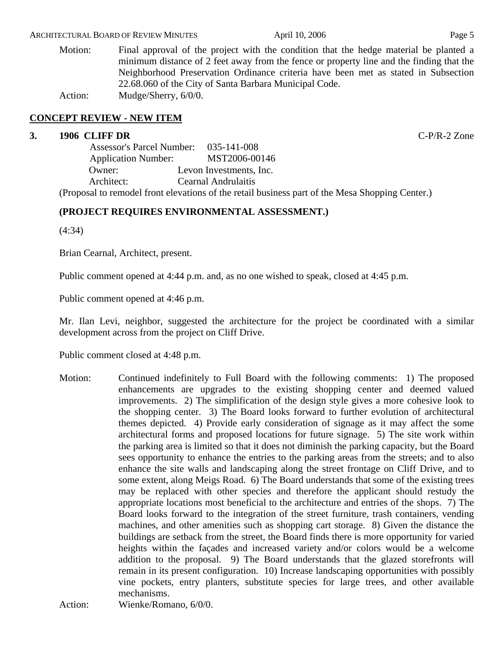#### ARCHITECTURAL BOARD OF REVIEW MINUTES April 10, 2006 April 10, 2006

Motion: Final approval of the project with the condition that the hedge material be planted a minimum distance of 2 feet away from the fence or property line and the finding that the Neighborhood Preservation Ordinance criteria have been met as stated in Subsection 22.68.060 of the City of Santa Barbara Municipal Code. Action: Mudge/Sherry,  $6/0/0$ .

# **CONCEPT REVIEW - NEW ITEM**

#### **3. 1906 CLIFF DR** C-P/R-2 Zone

 Assessor's Parcel Number: 035-141-008 Application Number: MST2006-00146 Owner: Levon Investments, Inc. Architect: Cearnal Andrulaitis

(Proposal to remodel front elevations of the retail business part of the Mesa Shopping Center.)

# **(PROJECT REQUIRES ENVIRONMENTAL ASSESSMENT.)**

(4:34)

Brian Cearnal, Architect, present.

Public comment opened at 4:44 p.m. and, as no one wished to speak, closed at 4:45 p.m.

Public comment opened at 4:46 p.m.

Mr. Ilan Levi, neighbor, suggested the architecture for the project be coordinated with a similar development across from the project on Cliff Drive.

Public comment closed at 4:48 p.m.

Motion: Continued indefinitely to Full Board with the following comments: 1) The proposed enhancements are upgrades to the existing shopping center and deemed valued improvements. 2) The simplification of the design style gives a more cohesive look to the shopping center. 3) The Board looks forward to further evolution of architectural themes depicted. 4) Provide early consideration of signage as it may affect the some architectural forms and proposed locations for future signage. 5) The site work within the parking area is limited so that it does not diminish the parking capacity, but the Board sees opportunity to enhance the entries to the parking areas from the streets; and to also enhance the site walls and landscaping along the street frontage on Cliff Drive, and to some extent, along Meigs Road. 6) The Board understands that some of the existing trees may be replaced with other species and therefore the applicant should restudy the appropriate locations most beneficial to the architecture and entries of the shops. 7) The Board looks forward to the integration of the street furniture, trash containers, vending machines, and other amenities such as shopping cart storage. 8) Given the distance the buildings are setback from the street, the Board finds there is more opportunity for varied heights within the façades and increased variety and/or colors would be a welcome addition to the proposal. 9) The Board understands that the glazed storefronts will remain in its present configuration. 10) Increase landscaping opportunities with possibly vine pockets, entry planters, substitute species for large trees, and other available mechanisms.

Action: Wienke/Romano, 6/0/0.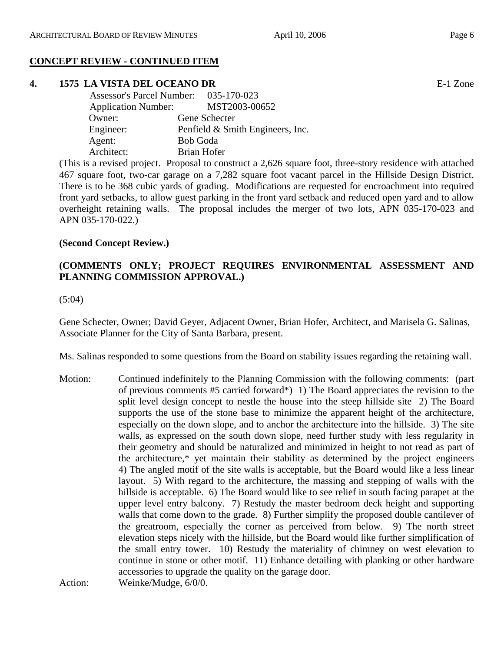# **CONCEPT REVIEW - CONTINUED ITEM**

# **4. 1575 LA VISTA DEL OCEANO DR** E-1 Zone

| Assessor's Parcel Number: 035-170-023       |
|---------------------------------------------|
| MST2003-00652<br><b>Application Number:</b> |
| Gene Schecter                               |
| Penfield & Smith Engineers, Inc.            |
| <b>Bob Goda</b>                             |
| Brian Hofer                                 |
|                                             |

(This is a revised project. Proposal to construct a 2,626 square foot, three-story residence with attached 467 square foot, two-car garage on a 7,282 square foot vacant parcel in the Hillside Design District. There is to be 368 cubic yards of grading. Modifications are requested for encroachment into required front yard setbacks, to allow guest parking in the front yard setback and reduced open yard and to allow overheight retaining walls. The proposal includes the merger of two lots, APN 035-170-023 and APN 035-170-022.)

# **(Second Concept Review.)**

# **(COMMENTS ONLY; PROJECT REQUIRES ENVIRONMENTAL ASSESSMENT AND PLANNING COMMISSION APPROVAL.)**

#### (5:04)

Gene Schecter, Owner; David Geyer, Adjacent Owner, Brian Hofer, Architect, and Marisela G. Salinas, Associate Planner for the City of Santa Barbara, present.

Ms. Salinas responded to some questions from the Board on stability issues regarding the retaining wall.

Motion: Continued indefinitely to the Planning Commission with the following comments: (part of previous comments #5 carried forward\*) 1) The Board appreciates the revision to the split level design concept to nestle the house into the steep hillside site 2) The Board supports the use of the stone base to minimize the apparent height of the architecture, especially on the down slope, and to anchor the architecture into the hillside. 3) The site walls, as expressed on the south down slope, need further study with less regularity in their geometry and should be naturalized and minimized in height to not read as part of the architecture,\* yet maintain their stability as determined by the project engineers 4) The angled motif of the site walls is acceptable, but the Board would like a less linear layout. 5) With regard to the architecture, the massing and stepping of walls with the hillside is acceptable. 6) The Board would like to see relief in south facing parapet at the upper level entry balcony. 7) Restudy the master bedroom deck height and supporting walls that come down to the grade. 8) Further simplify the proposed double cantilever of the greatroom, especially the corner as perceived from below. 9) The north street elevation steps nicely with the hillside, but the Board would like further simplification of the small entry tower. 10) Restudy the materiality of chimney on west elevation to continue in stone or other motif. 11) Enhance detailing with planking or other hardware accessories to upgrade the quality on the garage door.

```
Action: Weinke/Mudge, 6/0/0.
```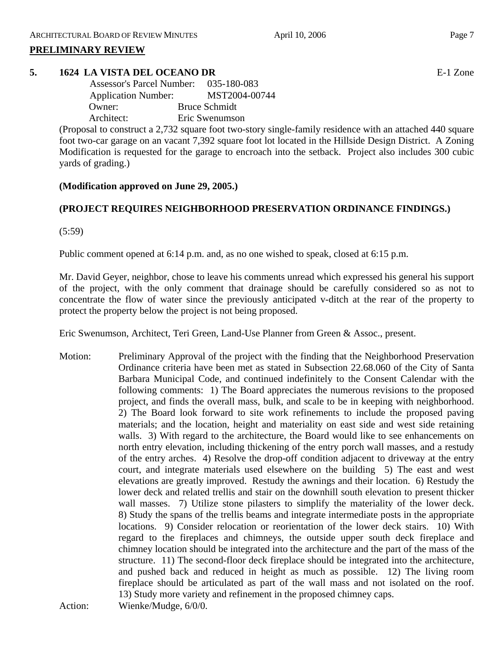# **PRELIMINARY REVIEW**

# **5. 1624 LA VISTA DEL OCEANO DR** E-1 Zone

 Assessor's Parcel Number: 035-180-083 Application Number: MST2004-00744 Owner: Bruce Schmidt Architect: Eric Swenumson

(Proposal to construct a 2,732 square foot two-story single-family residence with an attached 440 square foot two-car garage on an vacant 7,392 square foot lot located in the Hillside Design District. A Zoning Modification is requested for the garage to encroach into the setback. Project also includes 300 cubic yards of grading.)

# **(Modification approved on June 29, 2005.)**

# **(PROJECT REQUIRES NEIGHBORHOOD PRESERVATION ORDINANCE FINDINGS.)**

(5:59)

Public comment opened at 6:14 p.m. and, as no one wished to speak, closed at 6:15 p.m.

Mr. David Geyer, neighbor, chose to leave his comments unread which expressed his general his support of the project, with the only comment that drainage should be carefully considered so as not to concentrate the flow of water since the previously anticipated v-ditch at the rear of the property to protect the property below the project is not being proposed.

Eric Swenumson, Architect, Teri Green, Land-Use Planner from Green & Assoc., present.

Motion: Preliminary Approval of the project with the finding that the Neighborhood Preservation Ordinance criteria have been met as stated in Subsection 22.68.060 of the City of Santa Barbara Municipal Code, and continued indefinitely to the Consent Calendar with the following comments: 1) The Board appreciates the numerous revisions to the proposed project, and finds the overall mass, bulk, and scale to be in keeping with neighborhood. 2) The Board look forward to site work refinements to include the proposed paving materials; and the location, height and materiality on east side and west side retaining walls. 3) With regard to the architecture, the Board would like to see enhancements on north entry elevation, including thickening of the entry porch wall masses, and a restudy of the entry arches. 4) Resolve the drop-off condition adjacent to driveway at the entry court, and integrate materials used elsewhere on the building 5) The east and west elevations are greatly improved. Restudy the awnings and their location. 6) Restudy the lower deck and related trellis and stair on the downhill south elevation to present thicker wall masses. 7) Utilize stone pilasters to simplify the materiality of the lower deck. 8) Study the spans of the trellis beams and integrate intermediate posts in the appropriate locations. 9) Consider relocation or reorientation of the lower deck stairs. 10) With regard to the fireplaces and chimneys, the outside upper south deck fireplace and chimney location should be integrated into the architecture and the part of the mass of the structure. 11) The second-floor deck fireplace should be integrated into the architecture, and pushed back and reduced in height as much as possible. 12) The living room fireplace should be articulated as part of the wall mass and not isolated on the roof. 13) Study more variety and refinement in the proposed chimney caps. Action: Wienke/Mudge,  $6/0/0$ .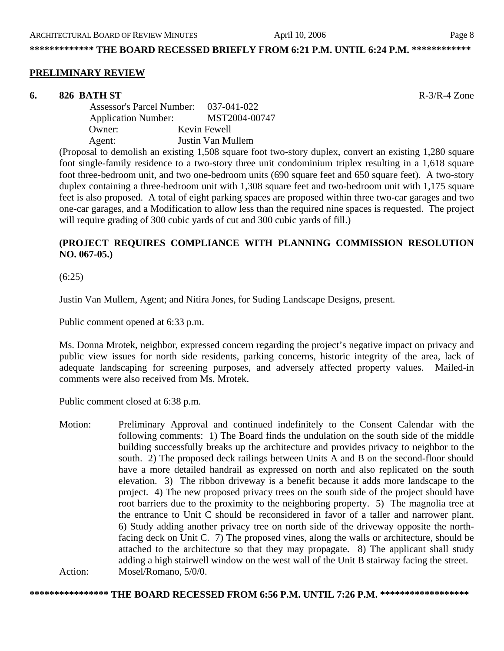#### **PRELIMINARY REVIEW**

#### **6. 826 BATH ST** R-3/R-4 Zone

 Assessor's Parcel Number: 037-041-022 Application Number: MST2004-00747 Owner: Kevin Fewell Agent: Justin Van Mullem

(Proposal to demolish an existing 1,508 square foot two-story duplex, convert an existing 1,280 square foot single-family residence to a two-story three unit condominium triplex resulting in a 1,618 square foot three-bedroom unit, and two one-bedroom units (690 square feet and 650 square feet). A two-story duplex containing a three-bedroom unit with 1,308 square feet and two-bedroom unit with 1,175 square feet is also proposed. A total of eight parking spaces are proposed within three two-car garages and two one-car garages, and a Modification to allow less than the required nine spaces is requested. The project will require grading of 300 cubic yards of cut and 300 cubic yards of fill.)

# **(PROJECT REQUIRES COMPLIANCE WITH PLANNING COMMISSION RESOLUTION NO. 067-05.)**

(6:25)

Justin Van Mullem, Agent; and Nitira Jones, for Suding Landscape Designs, present.

Public comment opened at 6:33 p.m.

Ms. Donna Mrotek, neighbor, expressed concern regarding the project's negative impact on privacy and public view issues for north side residents, parking concerns, historic integrity of the area, lack of adequate landscaping for screening purposes, and adversely affected property values. Mailed-in comments were also received from Ms. Mrotek.

Public comment closed at 6:38 p.m.

Motion: Preliminary Approval and continued indefinitely to the Consent Calendar with the following comments: 1) The Board finds the undulation on the south side of the middle building successfully breaks up the architecture and provides privacy to neighbor to the south. 2) The proposed deck railings between Units A and B on the second-floor should have a more detailed handrail as expressed on north and also replicated on the south elevation. 3) The ribbon driveway is a benefit because it adds more landscape to the project. 4) The new proposed privacy trees on the south side of the project should have root barriers due to the proximity to the neighboring property. 5) The magnolia tree at the entrance to Unit C should be reconsidered in favor of a taller and narrower plant. 6) Study adding another privacy tree on north side of the driveway opposite the northfacing deck on Unit C. 7) The proposed vines, along the walls or architecture, should be attached to the architecture so that they may propagate. 8) The applicant shall study adding a high stairwell window on the west wall of the Unit B stairway facing the street. Action: Mosel/Romano, 5/0/0.

**\*\*\*\*\*\*\*\*\*\*\*\*\*\*\*\* THE BOARD RECESSED FROM 6:56 P.M. UNTIL 7:26 P.M. \*\*\*\*\*\*\*\*\*\*\*\*\*\*\*\*\*\***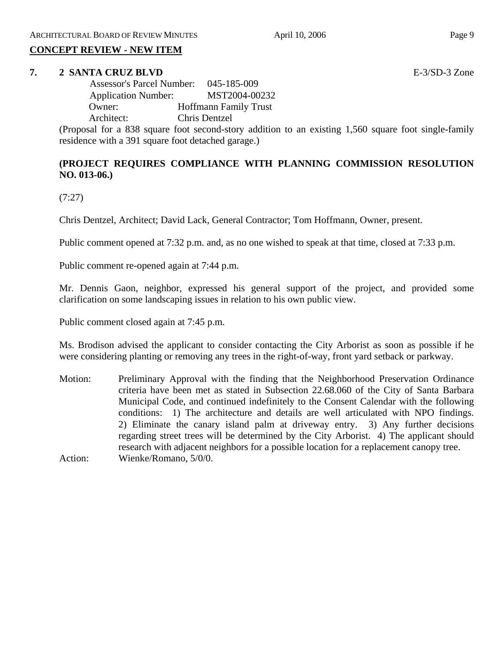#### **CONCEPT REVIEW - NEW ITEM**

#### **7. 2 SANTA CRUZ BLVD** E-3/SD-3 Zone

 Assessor's Parcel Number: 045-185-009 Application Number: MST2004-00232 Owner: Hoffmann Family Trust Architect: Chris Dentzel

(Proposal for a 838 square foot second-story addition to an existing 1,560 square foot single-family residence with a 391 square foot detached garage.)

# **(PROJECT REQUIRES COMPLIANCE WITH PLANNING COMMISSION RESOLUTION NO. 013-06.)**

(7:27)

Chris Dentzel, Architect; David Lack, General Contractor; Tom Hoffmann, Owner, present.

Public comment opened at 7:32 p.m. and, as no one wished to speak at that time, closed at 7:33 p.m.

Public comment re-opened again at 7:44 p.m.

Mr. Dennis Gaon, neighbor, expressed his general support of the project, and provided some clarification on some landscaping issues in relation to his own public view.

Public comment closed again at 7:45 p.m.

Ms. Brodison advised the applicant to consider contacting the City Arborist as soon as possible if he were considering planting or removing any trees in the right-of-way, front yard setback or parkway.

Motion: Preliminary Approval with the finding that the Neighborhood Preservation Ordinance criteria have been met as stated in Subsection 22.68.060 of the City of Santa Barbara Municipal Code, and continued indefinitely to the Consent Calendar with the following conditions: 1) The architecture and details are well articulated with NPO findings. 2) Eliminate the canary island palm at driveway entry. 3) Any further decisions regarding street trees will be determined by the City Arborist. 4) The applicant should research with adjacent neighbors for a possible location for a replacement canopy tree. Action: Wienke/Romano, 5/0/0.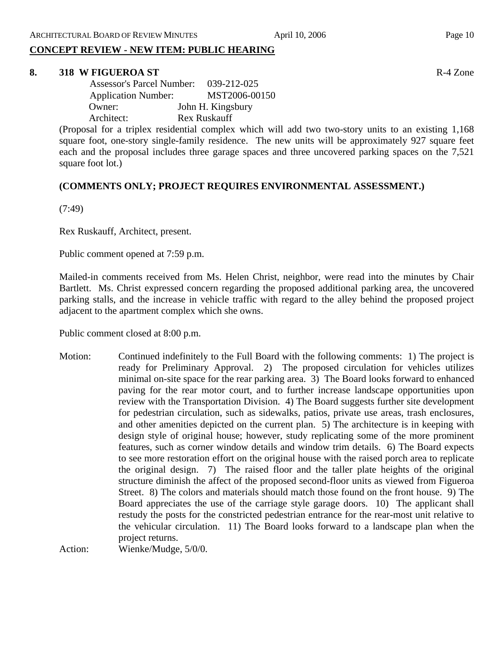# **CONCEPT REVIEW - NEW ITEM: PUBLIC HEARING**

#### **8. 318 W FIGUEROA ST** R-4 Zone

| <b>Assessor's Parcel Number:</b> | 039-212-025       |
|----------------------------------|-------------------|
| <b>Application Number:</b>       | MST2006-00150     |
| Owner:                           | John H. Kingsbury |
| Architect:                       | Rex Ruskauff      |

(Proposal for a triplex residential complex which will add two two-story units to an existing 1,168 square foot, one-story single-family residence. The new units will be approximately 927 square feet each and the proposal includes three garage spaces and three uncovered parking spaces on the 7,521 square foot lot.)

# **(COMMENTS ONLY; PROJECT REQUIRES ENVIRONMENTAL ASSESSMENT.)**

(7:49)

Rex Ruskauff, Architect, present.

Public comment opened at 7:59 p.m.

Mailed-in comments received from Ms. Helen Christ, neighbor, were read into the minutes by Chair Bartlett. Ms. Christ expressed concern regarding the proposed additional parking area, the uncovered parking stalls, and the increase in vehicle traffic with regard to the alley behind the proposed project adjacent to the apartment complex which she owns.

Public comment closed at 8:00 p.m.

Motion: Continued indefinitely to the Full Board with the following comments: 1) The project is ready for Preliminary Approval. 2) The proposed circulation for vehicles utilizes minimal on-site space for the rear parking area. 3) The Board looks forward to enhanced paving for the rear motor court, and to further increase landscape opportunities upon review with the Transportation Division. 4) The Board suggests further site development for pedestrian circulation, such as sidewalks, patios, private use areas, trash enclosures, and other amenities depicted on the current plan. 5) The architecture is in keeping with design style of original house; however, study replicating some of the more prominent features, such as corner window details and window trim details. 6) The Board expects to see more restoration effort on the original house with the raised porch area to replicate the original design. 7) The raised floor and the taller plate heights of the original structure diminish the affect of the proposed second-floor units as viewed from Figueroa Street. 8) The colors and materials should match those found on the front house. 9) The Board appreciates the use of the carriage style garage doors. 10) The applicant shall restudy the posts for the constricted pedestrian entrance for the rear-most unit relative to the vehicular circulation. 11) The Board looks forward to a landscape plan when the project returns.

Action: Wienke/Mudge, 5/0/0.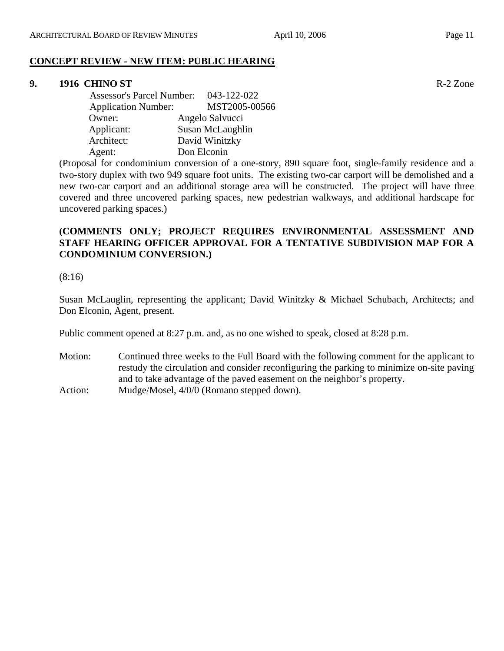# **CONCEPT REVIEW - NEW ITEM: PUBLIC HEARING**

# **9. 1916 CHINO ST** R-2 Zone

| <b>Assessor's Parcel Number:</b> | 043-122-022      |
|----------------------------------|------------------|
| <b>Application Number:</b>       | MST2005-00566    |
| Owner:                           | Angelo Salvucci  |
| Applicant:                       | Susan McLaughlin |
| Architect:                       | David Winitzky   |
| Agent:                           | Don Elconin      |

(Proposal for condominium conversion of a one-story, 890 square foot, single-family residence and a two-story duplex with two 949 square foot units. The existing two-car carport will be demolished and a new two-car carport and an additional storage area will be constructed. The project will have three covered and three uncovered parking spaces, new pedestrian walkways, and additional hardscape for uncovered parking spaces.)

# **(COMMENTS ONLY; PROJECT REQUIRES ENVIRONMENTAL ASSESSMENT AND STAFF HEARING OFFICER APPROVAL FOR A TENTATIVE SUBDIVISION MAP FOR A CONDOMINIUM CONVERSION.)**

(8:16)

Susan McLauglin, representing the applicant; David Winitzky & Michael Schubach, Architects; and Don Elconin, Agent, present.

Public comment opened at 8:27 p.m. and, as no one wished to speak, closed at 8:28 p.m.

Motion: Continued three weeks to the Full Board with the following comment for the applicant to restudy the circulation and consider reconfiguring the parking to minimize on-site paving and to take advantage of the paved easement on the neighbor's property. Action: Mudge/Mosel,  $4/0/0$  (Romano stepped down).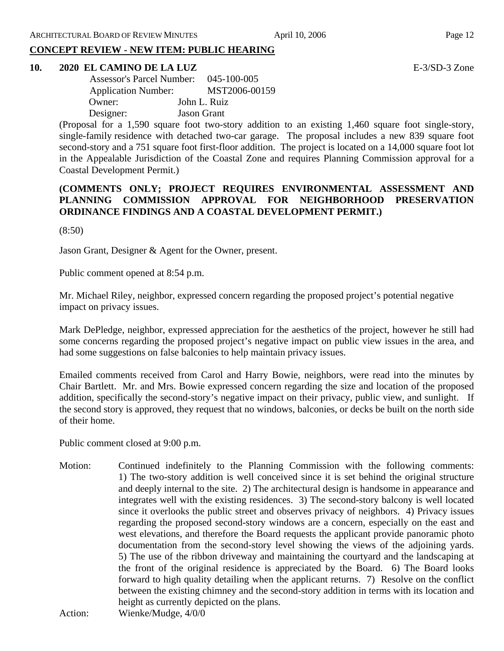# **CONCEPT REVIEW - NEW ITEM: PUBLIC HEARING**

# **10. 2020 EL CAMINO DE LA LUZ** E-3/SD-3 Zone

| <b>Assessor's Parcel Number:</b> | 045-100-005        |
|----------------------------------|--------------------|
| <b>Application Number:</b>       | MST2006-00159      |
| Owner:                           | John L. Ruiz       |
| Designer:                        | <b>Jason Grant</b> |

(Proposal for a 1,590 square foot two-story addition to an existing 1,460 square foot single-story, single-family residence with detached two-car garage. The proposal includes a new 839 square foot second-story and a 751 square foot first-floor addition. The project is located on a 14,000 square foot lot in the Appealable Jurisdiction of the Coastal Zone and requires Planning Commission approval for a Coastal Development Permit.)

# **(COMMENTS ONLY; PROJECT REQUIRES ENVIRONMENTAL ASSESSMENT AND PLANNING COMMISSION APPROVAL FOR NEIGHBORHOOD PRESERVATION ORDINANCE FINDINGS AND A COASTAL DEVELOPMENT PERMIT.)**

(8:50)

Jason Grant, Designer & Agent for the Owner, present.

Public comment opened at 8:54 p.m.

Mr. Michael Riley, neighbor, expressed concern regarding the proposed project's potential negative impact on privacy issues.

Mark DePledge, neighbor, expressed appreciation for the aesthetics of the project, however he still had some concerns regarding the proposed project's negative impact on public view issues in the area, and had some suggestions on false balconies to help maintain privacy issues.

Emailed comments received from Carol and Harry Bowie, neighbors, were read into the minutes by Chair Bartlett. Mr. and Mrs. Bowie expressed concern regarding the size and location of the proposed addition, specifically the second-story's negative impact on their privacy, public view, and sunlight. If the second story is approved, they request that no windows, balconies, or decks be built on the north side of their home.

Public comment closed at 9:00 p.m.

Motion: Continued indefinitely to the Planning Commission with the following comments: 1) The two-story addition is well conceived since it is set behind the original structure and deeply internal to the site. 2) The architectural design is handsome in appearance and integrates well with the existing residences. 3) The second-story balcony is well located since it overlooks the public street and observes privacy of neighbors. 4) Privacy issues regarding the proposed second-story windows are a concern, especially on the east and west elevations, and therefore the Board requests the applicant provide panoramic photo documentation from the second-story level showing the views of the adjoining yards. 5) The use of the ribbon driveway and maintaining the courtyard and the landscaping at the front of the original residence is appreciated by the Board. 6) The Board looks forward to high quality detailing when the applicant returns. 7) Resolve on the conflict between the existing chimney and the second-story addition in terms with its location and height as currently depicted on the plans.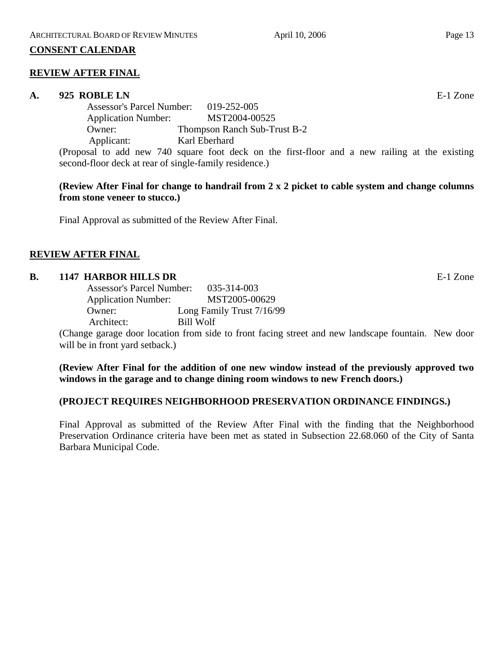# **CONSENT CALENDAR**

# **REVIEW AFTER FINAL**

# **A. 925 ROBLE LN** E-1 Zone

Assessor's Parcel Number: 019-252-005 Application Number: MST2004-00525 Owner: Thompson Ranch Sub-Trust B-2 Applicant: Karl Eberhard

(Proposal to add new 740 square foot deck on the first-floor and a new railing at the existing second-floor deck at rear of single-family residence.)

# **(Review After Final for change to handrail from 2 x 2 picket to cable system and change columns from stone veneer to stucco.)**

Final Approval as submitted of the Review After Final.

# **REVIEW AFTER FINAL**

# **B. 1147 HARBOR HILLS DR** E-1 Zone

| 035-314-003<br><b>Assessor's Parcel Number:</b> |
|-------------------------------------------------|
| MST2005-00629                                   |
| Long Family Trust 7/16/99                       |
| Bill Wolf                                       |
|                                                 |

(Change garage door location from side to front facing street and new landscape fountain. New door will be in front yard setback.)

# **(Review After Final for the addition of one new window instead of the previously approved two windows in the garage and to change dining room windows to new French doors.)**

# **(PROJECT REQUIRES NEIGHBORHOOD PRESERVATION ORDINANCE FINDINGS.)**

Final Approval as submitted of the Review After Final with the finding that the Neighborhood Preservation Ordinance criteria have been met as stated in Subsection 22.68.060 of the City of Santa Barbara Municipal Code.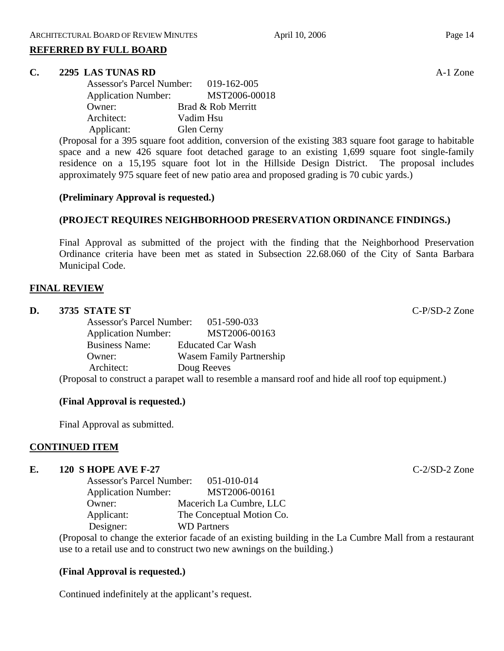#### **REFERRED BY FULL BOARD**

#### **C. 2295 LAS TUNAS RD** A-1 Zone

| <b>Assessor's Parcel Number:</b> | 019-162-005        |
|----------------------------------|--------------------|
| <b>Application Number:</b>       | MST2006-00018      |
| Owner:                           | Brad & Rob Merritt |
| Architect:                       | Vadim Hsu          |
| Applicant:                       | Glen Cerny         |

(Proposal for a 395 square foot addition, conversion of the existing 383 square foot garage to habitable space and a new 426 square foot detached garage to an existing 1,699 square foot single-family residence on a 15,195 square foot lot in the Hillside Design District. The proposal includes approximately 975 square feet of new patio area and proposed grading is 70 cubic yards.)

#### **(Preliminary Approval is requested.)**

# **(PROJECT REQUIRES NEIGHBORHOOD PRESERVATION ORDINANCE FINDINGS.)**

Final Approval as submitted of the project with the finding that the Neighborhood Preservation Ordinance criteria have been met as stated in Subsection 22.68.060 of the City of Santa Barbara Municipal Code.

#### **FINAL REVIEW**

#### **D. 3735 STATE ST** C-P/SD-2 Zone

| <b>Assessor's Parcel Number:</b>     | 051-590-033                     |
|--------------------------------------|---------------------------------|
| <b>Application Number:</b>           | MST2006-00163                   |
| <b>Business Name:</b>                | <b>Educated Car Wash</b>        |
| Owner:                               | <b>Wasem Family Partnership</b> |
| Architect:                           | Doug Reeves                     |
| $\sqrt{D}$ 1. $\sqrt{2}$ 11. 11. 11. |                                 |

(Proposal to construct a parapet wall to resemble a mansard roof and hide all roof top equipment.)

#### **(Final Approval is requested.)**

Final Approval as submitted.

# **CONTINUED ITEM**

#### **E. 120 S HOPE AVE F-27** C-2/SD-2 Zone

| <b>Assessor's Parcel Number:</b> | 051-010-014               |
|----------------------------------|---------------------------|
| <b>Application Number:</b>       | MST2006-00161             |
| Owner:                           | Macerich La Cumbre, LLC   |
| Applicant:                       | The Conceptual Motion Co. |
| Designer:                        | <b>WD</b> Partners        |

(Proposal to change the exterior facade of an existing building in the La Cumbre Mall from a restaurant use to a retail use and to construct two new awnings on the building.)

# **(Final Approval is requested.)**

Continued indefinitely at the applicant's request.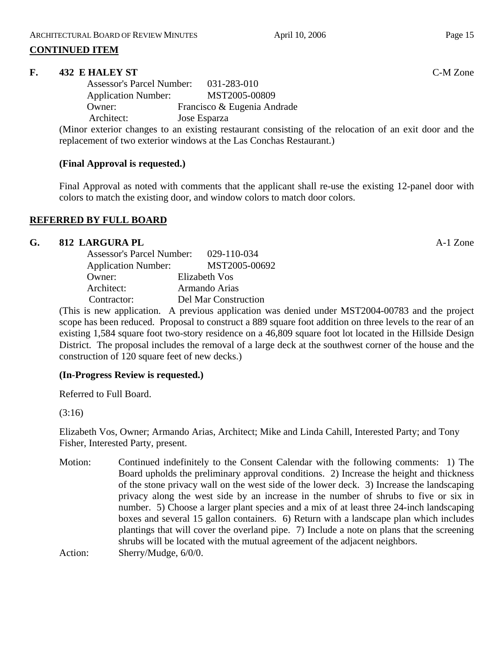# **CONTINUED ITEM**

# **F. 432 E HALEY ST** C-M Zone

| <b>Assessor's Parcel Number:</b> | 031-283-010                 |
|----------------------------------|-----------------------------|
| <b>Application Number:</b>       | MST2005-00809               |
| Owner:                           | Francisco & Eugenia Andrade |
| Architect:                       | Jose Esparza                |
|                                  |                             |

(Minor exterior changes to an existing restaurant consisting of the relocation of an exit door and the replacement of two exterior windows at the Las Conchas Restaurant.)

# **(Final Approval is requested.)**

Final Approval as noted with comments that the applicant shall re-use the existing 12-panel door with colors to match the existing door, and window colors to match door colors.

# **REFERRED BY FULL BOARD**

# **G.** 812 LARGURA PL **A-1** Zone

| <b>Assessor's Parcel Number:</b> | 029-110-034          |
|----------------------------------|----------------------|
| <b>Application Number:</b>       | MST2005-00692        |
| Owner:                           | Elizabeth Vos        |
| Architect:                       | Armando Arias        |
| Contractor:                      | Del Mar Construction |

(This is new application. A previous application was denied under MST2004-00783 and the project scope has been reduced. Proposal to construct a 889 square foot addition on three levels to the rear of an existing 1,584 square foot two-story residence on a 46,809 square foot lot located in the Hillside Design District. The proposal includes the removal of a large deck at the southwest corner of the house and the construction of 120 square feet of new decks.)

# **(In-Progress Review is requested.)**

Referred to Full Board.

(3:16)

Elizabeth Vos, Owner; Armando Arias, Architect; Mike and Linda Cahill, Interested Party; and Tony Fisher, Interested Party, present.

Motion: Continued indefinitely to the Consent Calendar with the following comments: 1) The Board upholds the preliminary approval conditions. 2) Increase the height and thickness of the stone privacy wall on the west side of the lower deck. 3) Increase the landscaping privacy along the west side by an increase in the number of shrubs to five or six in number. 5) Choose a larger plant species and a mix of at least three 24-inch landscaping boxes and several 15 gallon containers. 6) Return with a landscape plan which includes plantings that will cover the overland pipe. 7) Include a note on plans that the screening shrubs will be located with the mutual agreement of the adjacent neighbors. Action: Sherry/Mudge,  $6/0/0$ .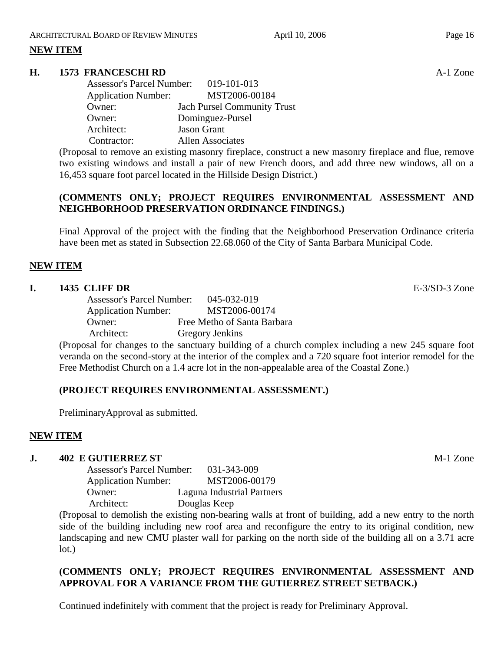# **NEW ITEM**

# **H. 1573 FRANCESCHI RD** A-1 Zone

| Assessor's Parcel Number: 019-101-013 |                                    |
|---------------------------------------|------------------------------------|
| <b>Application Number:</b>            | MST2006-00184                      |
| Owner:                                | <b>Jach Pursel Community Trust</b> |
| Owner:                                | Dominguez-Pursel                   |
| Architect:                            | <b>Jason Grant</b>                 |
| Contractor:                           | <b>Allen Associates</b>            |

(Proposal to remove an existing masonry fireplace, construct a new masonry fireplace and flue, remove two existing windows and install a pair of new French doors, and add three new windows, all on a 16,453 square foot parcel located in the Hillside Design District.)

# **(COMMENTS ONLY; PROJECT REQUIRES ENVIRONMENTAL ASSESSMENT AND NEIGHBORHOOD PRESERVATION ORDINANCE FINDINGS.)**

Final Approval of the project with the finding that the Neighborhood Preservation Ordinance criteria have been met as stated in Subsection 22.68.060 of the City of Santa Barbara Municipal Code.

# **NEW ITEM**

# **I. 1435 CLIFF DR** E-3/SD-3 Zone

Assessor's Parcel Number: 045-032-019 Application Number: MST2006-00174 Owner: Free Metho of Santa Barbara Architect: Gregory Jenkins

(Proposal for changes to the sanctuary building of a church complex including a new 245 square foot veranda on the second-story at the interior of the complex and a 720 square foot interior remodel for the Free Methodist Church on a 1.4 acre lot in the non-appealable area of the Coastal Zone.)

# **(PROJECT REQUIRES ENVIRONMENTAL ASSESSMENT.)**

PreliminaryApproval as submitted.

# **NEW ITEM**

# **J. 402 E GUTIERREZ ST** M-1 Zone

Assessor's Parcel Number: 031-343-009 Application Number: MST2006-00179 Owner: Laguna Industrial Partners Architect: Douglas Keep

(Proposal to demolish the existing non-bearing walls at front of building, add a new entry to the north side of the building including new roof area and reconfigure the entry to its original condition, new landscaping and new CMU plaster wall for parking on the north side of the building all on a 3.71 acre lot.)

# **(COMMENTS ONLY; PROJECT REQUIRES ENVIRONMENTAL ASSESSMENT AND APPROVAL FOR A VARIANCE FROM THE GUTIERREZ STREET SETBACK.)**

Continued indefinitely with comment that the project is ready for Preliminary Approval.